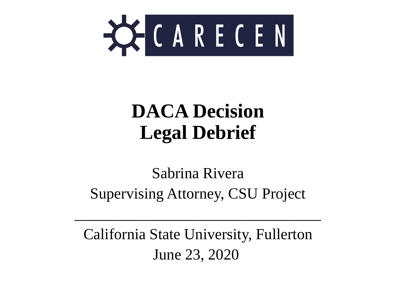

#### **DACA Decision Legal Debrief**

#### Sabrina Rivera Supervising Attorney, CSU Project

California State University, Fullerton June 23, 2020

 $\mathcal{L}=\{1,2,3,4\}$  , we can also the contract of  $\mathcal{L}=\{1,2,3,4\}$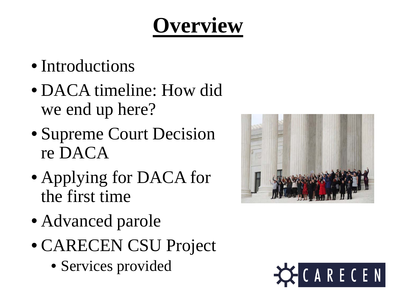## **Overview**

- Introductions
- DACA timeline: How did we end up here?
- Supreme Court Decision re DACA
- Applying for DACA for the first time
- Advanced parole
- CARECEN CSU Project
	- Services provided



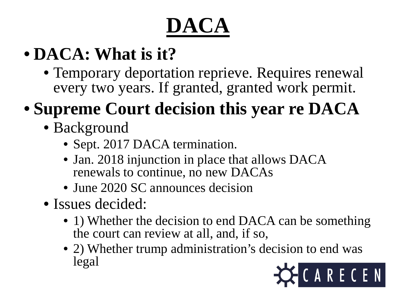# **DACA**

#### • **DACA: What is it?**

• Temporary deportation reprieve. Requires renewal every two years. If granted, granted work permit.

#### • **Supreme Court decision this year re DACA**

- Background
	- Sept. 2017 DACA termination.
	- Jan. 2018 injunction in place that allows DACA renewals to continue, no new DACAs
	- June 2020 SC announces decision
- Issues decided:
	- 1) Whether the decision to end DACA can be something the court can review at all, and, if so,
	- 2) Whether trump administration's decision to end was legal

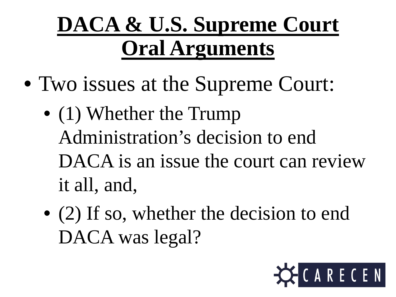## **DACA & U.S. Supreme Court Oral Arguments**

- Two issues at the Supreme Court:
	- (1) Whether the Trump Administration's decision to end DACA is an issue the court can review it all, and,
	- (2) If so, whether the decision to end DACA was legal?

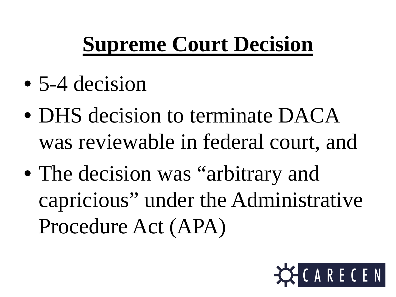## **Supreme Court Decision**

- 5-4 decision
- DHS decision to terminate DACA was reviewable in federal court, and
- The decision was "arbitrary and capricious" under the Administrative Procedure Act (APA)

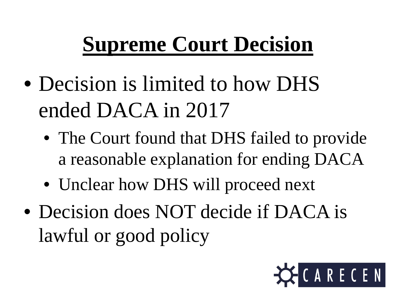## **Supreme Court Decision**

- Decision is limited to how DHS ended DACA in 2017
	- The Court found that DHS failed to provide a reasonable explanation for ending DACA
	- Unclear how DHS will proceed next
- Decision does NOT decide if DACA is lawful or good policy

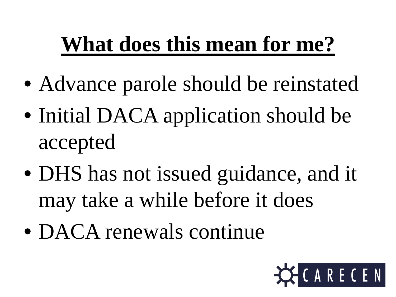## **What does this mean for me?**

- Advance parole should be reinstated
- Initial DACA application should be accepted
- DHS has not issued guidance, and it may take a while before it does
- DACA renewals continue

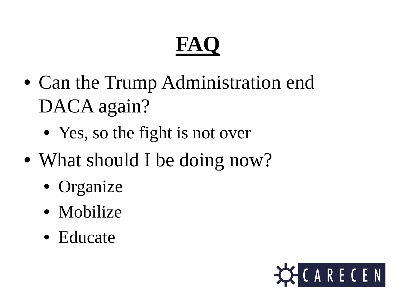# **FAQ**

- Can the Trump Administration end DACA again?
	- Yes, so the fight is not over
- What should I be doing now?
	- Organize
	- Mobilize
	- Educate

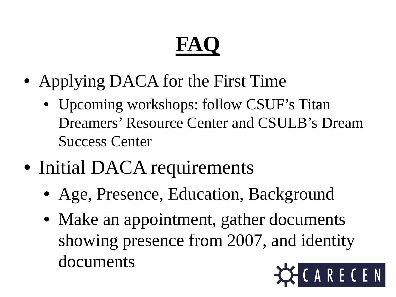# **FAQ**

- Applying DACA for the First Time
	- Upcoming workshops: follow CSUF's Titan Dreamers' Resource Center and CSULB's Dream Success Center
- Initial DACA requirements
	- Age, Presence, Education, Background
	- Make an appointment, gather documents showing presence from 2007, and identity documentsCARECEN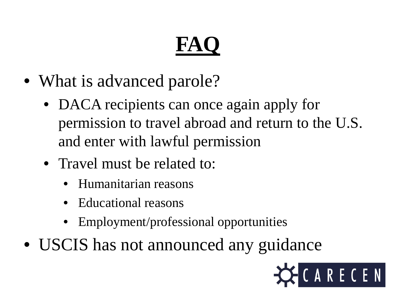# **FA**

- What is advanced parole?
	- DACA recipients can once again apply for permission to travel abroad and return to the U.S. and enter with lawful permission
	- Travel must be related to:
		- Humanitarian reasons
		- Educational reasons
		- Employment/professional opportunities
- USCIS has not announced any guidance

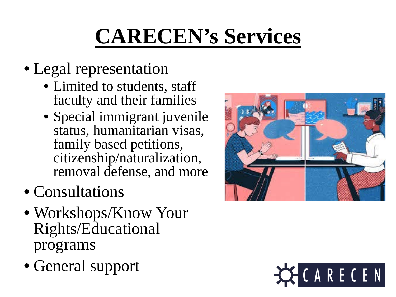# **CARECEN's Services**

- Legal representation
	- Limited to students, staff faculty and their families
	- Special immigrant juvenile status, humanitarian visas, family based petitions, citizenship/naturalization, removal defense, and more
- Consultations
- Workshops/Know Your Rights/Educational programs
- General support



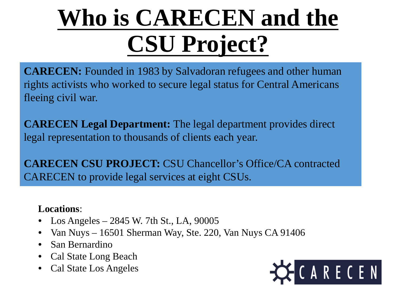# **Who is CARECEN and the CSU Project?**

**CARECEN:** Founded in 1983 by Salvadoran refugees and other human rights activists who worked to secure legal status for Central Americans fleeing civil war.

**CARECEN Legal Department:** The legal department provides direct legal representation to thousands of clients each year.

**CARECEN CSU PROJECT:** CSU Chancellor's Office/CA contracted CARECEN to provide legal services at eight CSUs.

#### **Locations**:

- Los Angeles 2845 W. 7th St., LA, 90005
- Van Nuys 16501 Sherman Way, Ste. 220, Van Nuys CA 91406
- San Bernardino
- Cal State Long Beach
- Cal State Los Angeles

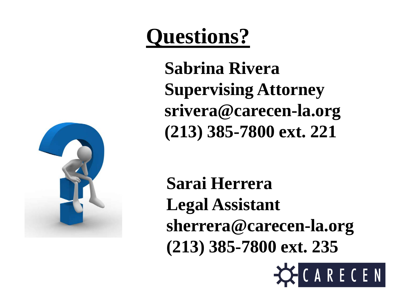#### **Questions?**

**Sabrina Rivera Supervising Attorney srivera@carecen-la.org (213) 385-7800 ext. 221**



**Sarai Herrera Legal Assistant sherrera@carecen-la.org (213) 385-7800 ext. 235**